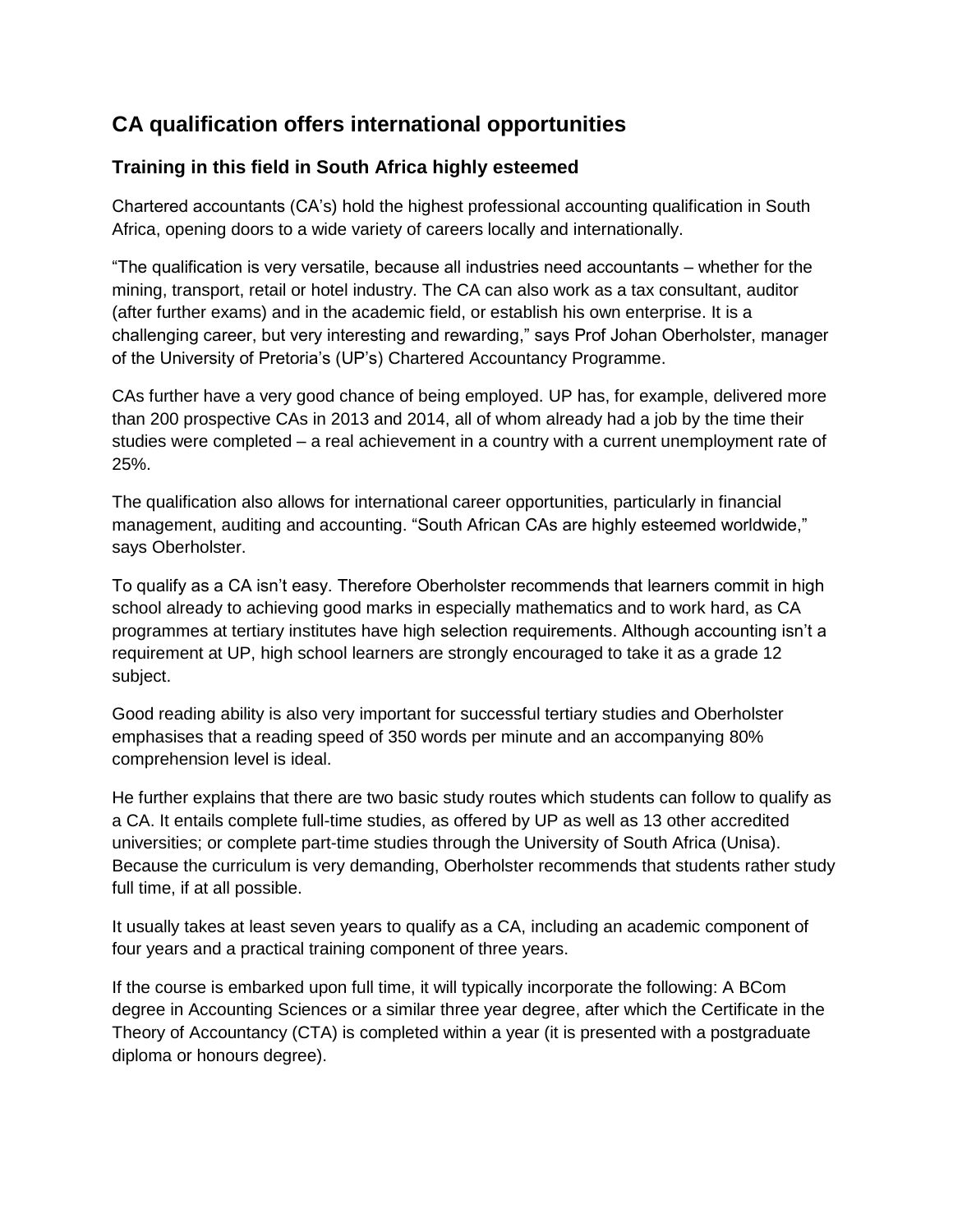## **CA qualification offers international opportunities**

## **Training in this field in South Africa highly esteemed**

Chartered accountants (CA's) hold the highest professional accounting qualification in South Africa, opening doors to a wide variety of careers locally and internationally.

"The qualification is very versatile, because all industries need accountants – whether for the mining, transport, retail or hotel industry. The CA can also work as a tax consultant, auditor (after further exams) and in the academic field, or establish his own enterprise. It is a challenging career, but very interesting and rewarding," says Prof Johan Oberholster, manager of the University of Pretoria's (UP's) Chartered Accountancy Programme.

CAs further have a very good chance of being employed. UP has, for example, delivered more than 200 prospective CAs in 2013 and 2014, all of whom already had a job by the time their studies were completed – a real achievement in a country with a current unemployment rate of 25%.

The qualification also allows for international career opportunities, particularly in financial management, auditing and accounting. "South African CAs are highly esteemed worldwide," says Oberholster.

To qualify as a CA isn't easy. Therefore Oberholster recommends that learners commit in high school already to achieving good marks in especially mathematics and to work hard, as CA programmes at tertiary institutes have high selection requirements. Although accounting isn't a requirement at UP, high school learners are strongly encouraged to take it as a grade 12 subject.

Good reading ability is also very important for successful tertiary studies and Oberholster emphasises that a reading speed of 350 words per minute and an accompanying 80% comprehension level is ideal.

He further explains that there are two basic study routes which students can follow to qualify as a CA. It entails complete full-time studies, as offered by UP as well as 13 other accredited universities; or complete part-time studies through the University of South Africa (Unisa). Because the curriculum is very demanding, Oberholster recommends that students rather study full time, if at all possible.

It usually takes at least seven years to qualify as a CA, including an academic component of four years and a practical training component of three years.

If the course is embarked upon full time, it will typically incorporate the following: A BCom degree in Accounting Sciences or a similar three year degree, after which the Certificate in the Theory of Accountancy (CTA) is completed within a year (it is presented with a postgraduate diploma or honours degree).